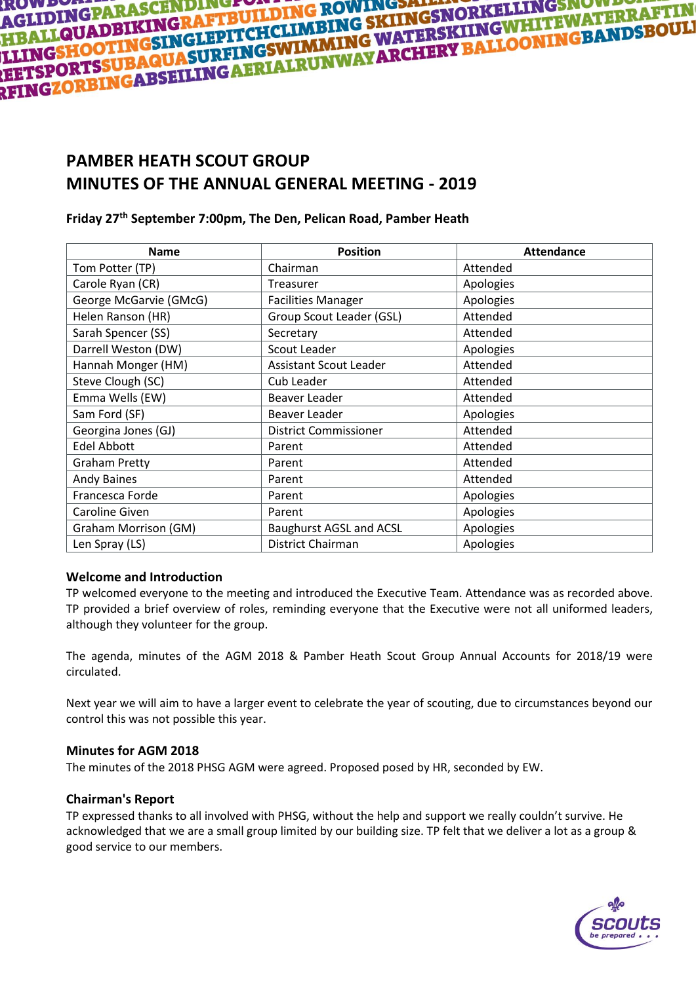# **AGLIDINGPARASCENDINGFOLLDING ROWINGSALT MESSION NEWSTAPPING SKILDING PARAFTING**<br>HBALLQUADBIKINGRAFTBUILDING SKIINGSNORKELLINGTHRRAFTING<br>LLINGSHOOTINGSINGLEPITCHCLIMBING WATERSKIINGWHITEWATERRAFTING<br>LETSPORTSSUBAQUASURFING AGLIDINGPARIKINGRAFTBULLDING BKIINGSNOKKE<br>HBALLQUADBIKINGRAFTBULLDING SKIINGSNOKKEWHITEWATERRAFTIK<br>LLING<mark>SHOOTING</mark>SINGLEPITCHCLIMBING WATERSKIINGWHITEWATERRAFTIKI<br>LETSPORTSSUBAQUASURFINGSWIMMAYARCHERY BALLOONINGBANDSBOULI<br>

# **PAMBER HEATH SCOUT GROUP MINUTES OF THE ANNUAL GENERAL MEETING - 2019**

# **Friday 27th September 7:00pm, The Den, Pelican Road, Pamber Heath**

| <b>Name</b>            | <b>Position</b>                | <b>Attendance</b> |
|------------------------|--------------------------------|-------------------|
| Tom Potter (TP)        | Chairman                       | Attended          |
| Carole Ryan (CR)       | Treasurer                      | Apologies         |
| George McGarvie (GMcG) | <b>Facilities Manager</b>      | Apologies         |
| Helen Ranson (HR)      | Group Scout Leader (GSL)       | Attended          |
| Sarah Spencer (SS)     | Secretary                      | Attended          |
| Darrell Weston (DW)    | Scout Leader                   | Apologies         |
| Hannah Monger (HM)     | <b>Assistant Scout Leader</b>  | Attended          |
| Steve Clough (SC)      | Cub Leader                     | Attended          |
| Emma Wells (EW)        | Beaver Leader                  | Attended          |
| Sam Ford (SF)          | Beaver Leader                  | Apologies         |
| Georgina Jones (GJ)    | <b>District Commissioner</b>   | Attended          |
| <b>Edel Abbott</b>     | Parent                         | Attended          |
| <b>Graham Pretty</b>   | Parent                         | Attended          |
| <b>Andy Baines</b>     | Parent                         | Attended          |
| Francesca Forde        | Parent                         | Apologies         |
| Caroline Given         | Parent                         | Apologies         |
| Graham Morrison (GM)   | <b>Baughurst AGSL and ACSL</b> | Apologies         |
| Len Spray (LS)         | District Chairman              | Apologies         |

# **Welcome and Introduction**

TP welcomed everyone to the meeting and introduced the Executive Team. Attendance was as recorded above. TP provided a brief overview of roles, reminding everyone that the Executive were not all uniformed leaders, although they volunteer for the group.

The agenda, minutes of the AGM 2018 & Pamber Heath Scout Group Annual Accounts for 2018/19 were circulated.

Next year we will aim to have a larger event to celebrate the year of scouting, due to circumstances beyond our control this was not possible this year.

# **Minutes for AGM 2018**

The minutes of the 2018 PHSG AGM were agreed. Proposed posed by HR, seconded by EW.

# **Chairman's Report**

TP expressed thanks to all involved with PHSG, without the help and support we really couldn't survive. He acknowledged that we are a small group limited by our building size. TP felt that we deliver a lot as a group & good service to our members.

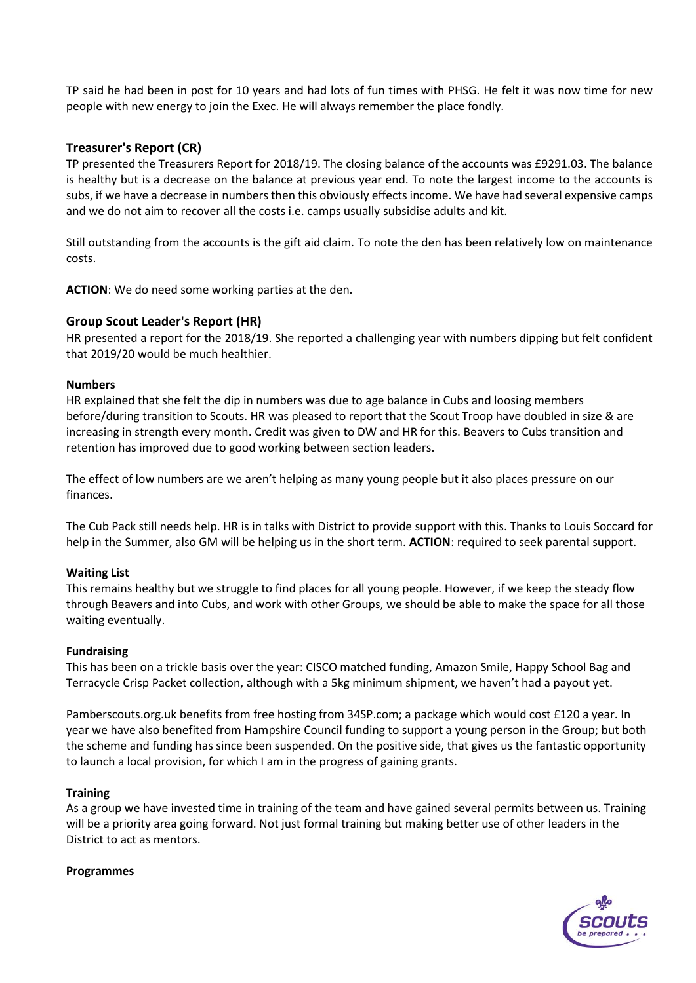TP said he had been in post for 10 years and had lots of fun times with PHSG. He felt it was now time for new people with new energy to join the Exec. He will always remember the place fondly.

# **Treasurer's Report (CR)**

TP presented the Treasurers Report for 2018/19. The closing balance of the accounts was £9291.03. The balance is healthy but is a decrease on the balance at previous year end. To note the largest income to the accounts is subs, if we have a decrease in numbers then this obviously effects income. We have had several expensive camps and we do not aim to recover all the costs i.e. camps usually subsidise adults and kit.

Still outstanding from the accounts is the gift aid claim. To note the den has been relatively low on maintenance costs.

**ACTION**: We do need some working parties at the den.

#### **Group Scout Leader's Report (HR)**

HR presented a report for the 2018/19. She reported a challenging year with numbers dipping but felt confident that 2019/20 would be much healthier.

#### **Numbers**

HR explained that she felt the dip in numbers was due to age balance in Cubs and loosing members before/during transition to Scouts. HR was pleased to report that the Scout Troop have doubled in size & are increasing in strength every month. Credit was given to DW and HR for this. Beavers to Cubs transition and retention has improved due to good working between section leaders.

The effect of low numbers are we aren't helping as many young people but it also places pressure on our finances.

The Cub Pack still needs help. HR is in talks with District to provide support with this. Thanks to Louis Soccard for help in the Summer, also GM will be helping us in the short term. **ACTION**: required to seek parental support.

#### **Waiting List**

This remains healthy but we struggle to find places for all young people. However, if we keep the steady flow through Beavers and into Cubs, and work with other Groups, we should be able to make the space for all those waiting eventually.

#### **Fundraising**

This has been on a trickle basis over the year: CISCO matched funding, Amazon Smile, Happy School Bag and Terracycle Crisp Packet collection, although with a 5kg minimum shipment, we haven't had a payout yet.

Pamberscouts.org.uk benefits from free hosting from 34SP.com; a package which would cost £120 a year. In year we have also benefited from Hampshire Council funding to support a young person in the Group; but both the scheme and funding has since been suspended. On the positive side, that gives us the fantastic opportunity to launch a local provision, for which I am in the progress of gaining grants.

#### **Training**

As a group we have invested time in training of the team and have gained several permits between us. Training will be a priority area going forward. Not just formal training but making better use of other leaders in the District to act as mentors.

**Programmes**

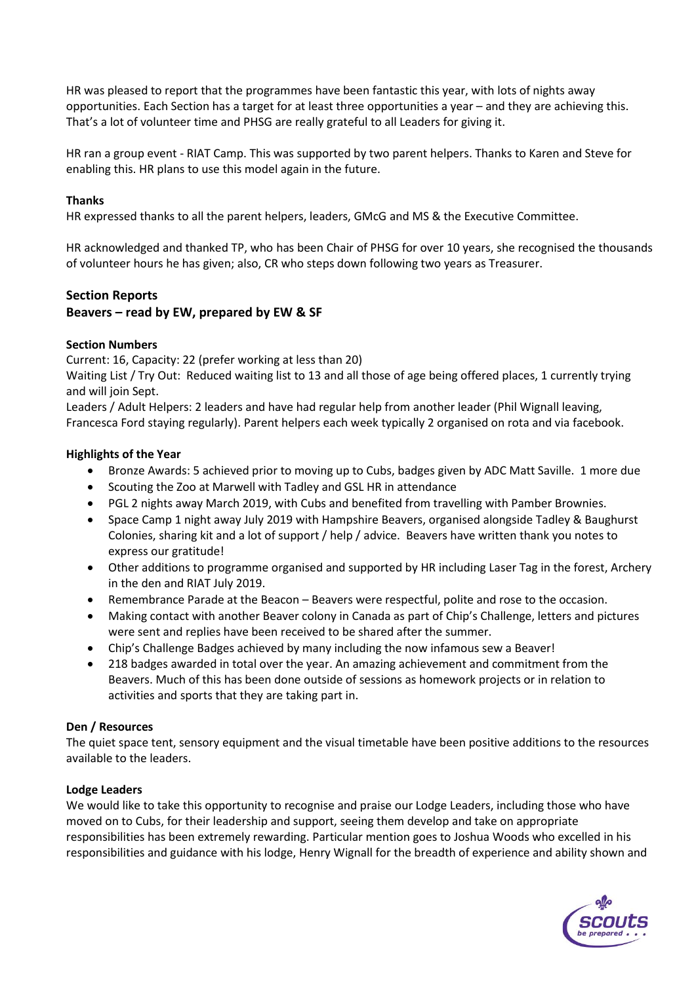HR was pleased to report that the programmes have been fantastic this year, with lots of nights away opportunities. Each Section has a target for at least three opportunities a year – and they are achieving this. That's a lot of volunteer time and PHSG are really grateful to all Leaders for giving it.

HR ran a group event - RIAT Camp. This was supported by two parent helpers. Thanks to Karen and Steve for enabling this. HR plans to use this model again in the future.

#### **Thanks**

HR expressed thanks to all the parent helpers, leaders, GMcG and MS & the Executive Committee.

HR acknowledged and thanked TP, who has been Chair of PHSG for over 10 years, she recognised the thousands of volunteer hours he has given; also, CR who steps down following two years as Treasurer.

#### **Section Reports**

# **Beavers – read by EW, prepared by EW & SF**

#### **Section Numbers**

Current: 16, Capacity: 22 (prefer working at less than 20)

Waiting List / Try Out: Reduced waiting list to 13 and all those of age being offered places, 1 currently trying and will join Sept.

Leaders / Adult Helpers: 2 leaders and have had regular help from another leader (Phil Wignall leaving, Francesca Ford staying regularly). Parent helpers each week typically 2 organised on rota and via facebook.

#### **Highlights of the Year**

- Bronze Awards: 5 achieved prior to moving up to Cubs, badges given by ADC Matt Saville. 1 more due
- Scouting the Zoo at Marwell with Tadley and GSL HR in attendance
- PGL 2 nights away March 2019, with Cubs and benefited from travelling with Pamber Brownies.
- Space Camp 1 night away July 2019 with Hampshire Beavers, organised alongside Tadley & Baughurst Colonies, sharing kit and a lot of support / help / advice. Beavers have written thank you notes to express our gratitude!
- Other additions to programme organised and supported by HR including Laser Tag in the forest, Archery in the den and RIAT July 2019.
- Remembrance Parade at the Beacon Beavers were respectful, polite and rose to the occasion.
- Making contact with another Beaver colony in Canada as part of Chip's Challenge, letters and pictures were sent and replies have been received to be shared after the summer.
- Chip's Challenge Badges achieved by many including the now infamous sew a Beaver!
- 218 badges awarded in total over the year. An amazing achievement and commitment from the Beavers. Much of this has been done outside of sessions as homework projects or in relation to activities and sports that they are taking part in.

# **Den / Resources**

The quiet space tent, sensory equipment and the visual timetable have been positive additions to the resources available to the leaders.

# **Lodge Leaders**

We would like to take this opportunity to recognise and praise our Lodge Leaders, including those who have moved on to Cubs, for their leadership and support, seeing them develop and take on appropriate responsibilities has been extremely rewarding. Particular mention goes to Joshua Woods who excelled in his responsibilities and guidance with his lodge, Henry Wignall for the breadth of experience and ability shown and

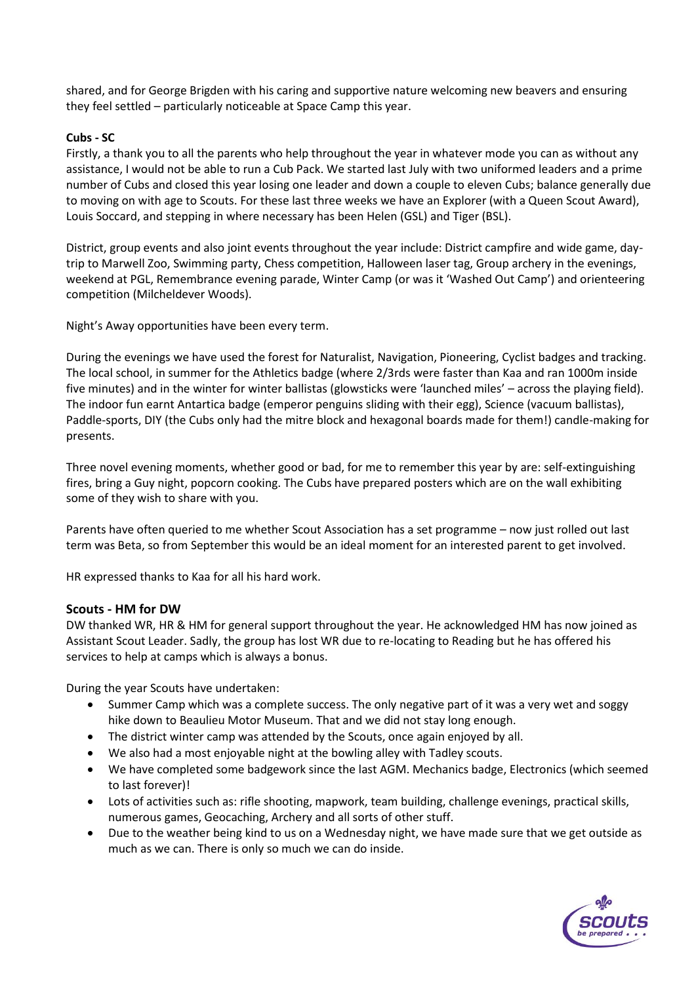shared, and for George Brigden with his caring and supportive nature welcoming new beavers and ensuring they feel settled – particularly noticeable at Space Camp this year.

#### **Cubs - SC**

Firstly, a thank you to all the parents who help throughout the year in whatever mode you can as without any assistance, I would not be able to run a Cub Pack. We started last July with two uniformed leaders and a prime number of Cubs and closed this year losing one leader and down a couple to eleven Cubs; balance generally due to moving on with age to Scouts. For these last three weeks we have an Explorer (with a Queen Scout Award), Louis Soccard, and stepping in where necessary has been Helen (GSL) and Tiger (BSL).

District, group events and also joint events throughout the year include: District campfire and wide game, daytrip to Marwell Zoo, Swimming party, Chess competition, Halloween laser tag, Group archery in the evenings, weekend at PGL, Remembrance evening parade, Winter Camp (or was it 'Washed Out Camp') and orienteering competition (Milcheldever Woods).

Night's Away opportunities have been every term.

During the evenings we have used the forest for Naturalist, Navigation, Pioneering, Cyclist badges and tracking. The local school, in summer for the Athletics badge (where 2/3rds were faster than Kaa and ran 1000m inside five minutes) and in the winter for winter ballistas (glowsticks were 'launched miles' – across the playing field). The indoor fun earnt Antartica badge (emperor penguins sliding with their egg), Science (vacuum ballistas), Paddle-sports, DIY (the Cubs only had the mitre block and hexagonal boards made for them!) candle-making for presents.

Three novel evening moments, whether good or bad, for me to remember this year by are: self-extinguishing fires, bring a Guy night, popcorn cooking. The Cubs have prepared posters which are on the wall exhibiting some of they wish to share with you.

Parents have often queried to me whether Scout Association has a set programme – now just rolled out last term was Beta, so from September this would be an ideal moment for an interested parent to get involved.

HR expressed thanks to Kaa for all his hard work.

#### **Scouts - HM for DW**

DW thanked WR, HR & HM for general support throughout the year. He acknowledged HM has now joined as Assistant Scout Leader. Sadly, the group has lost WR due to re-locating to Reading but he has offered his services to help at camps which is always a bonus.

During the year Scouts have undertaken:

- Summer Camp which was a complete success. The only negative part of it was a very wet and soggy hike down to Beaulieu Motor Museum. That and we did not stay long enough.
- The district winter camp was attended by the Scouts, once again enjoyed by all.
- We also had a most enjoyable night at the bowling alley with Tadley scouts.
- We have completed some badgework since the last AGM. Mechanics badge, Electronics (which seemed to last forever)!
- Lots of activities such as: rifle shooting, mapwork, team building, challenge evenings, practical skills, numerous games, Geocaching, Archery and all sorts of other stuff.
- Due to the weather being kind to us on a Wednesday night, we have made sure that we get outside as much as we can. There is only so much we can do inside.